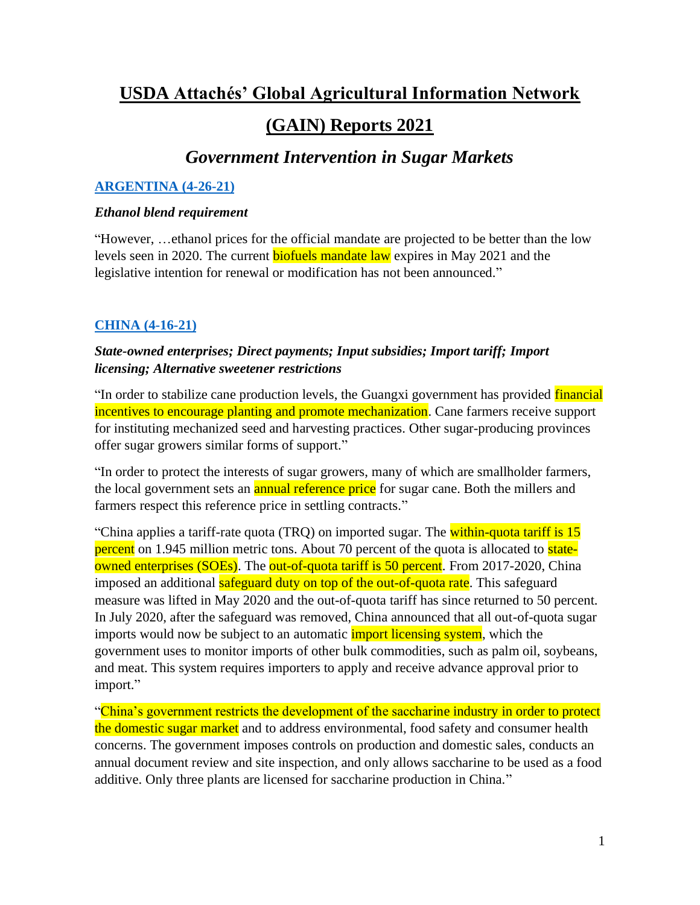# **USDA Attachés' Global Agricultural Information Network (GAIN) Reports 2021**

## *Government Intervention in Sugar Markets*

## **[ARGENTINA \(4-26-21\)](https://apps.fas.usda.gov/newgainapi/api/Report/DownloadReportByFileName?fileName=Sugar%20Annual_Buenos%20Aires_Argentina_04-26-2021)**

#### *Ethanol blend requirement*

"However, …ethanol prices for the official mandate are projected to be better than the low levels seen in 2020. The current **biofuels mandate law** expires in May 2021 and the legislative intention for renewal or modification has not been announced."

## **CHINA [\(4-16-21\)](https://apps.fas.usda.gov/newgainapi/api/Report/DownloadReportByFileName?fileName=Sugar%20Annual_Beijing_China%20-%20People%27s%20Republic%20of_04-15-2021)**

## *State-owned enterprises; Direct payments; Input subsidies; Import tariff; Import licensing; Alternative sweetener restrictions*

"In order to stabilize cane production levels, the Guangxi government has provided financial incentives to encourage planting and promote mechanization. Cane farmers receive support for instituting mechanized seed and harvesting practices. Other sugar-producing provinces offer sugar growers similar forms of support."

"In order to protect the interests of sugar growers, many of which are smallholder farmers, the local government sets an **annual reference price** for sugar cane. Both the millers and farmers respect this reference price in settling contracts."

"China applies a tariff-rate quota (TRQ) on imported sugar. The within-quota tariff is 15 percent on 1.945 million metric tons. About 70 percent of the quota is allocated to stateowned enterprises (SOEs). The out-of-quota tariff is 50 percent. From 2017-2020, China imposed an additional safeguard duty on top of the out-of-quota rate. This safeguard measure was lifted in May 2020 and the out-of-quota tariff has since returned to 50 percent. In July 2020, after the safeguard was removed, China announced that all out-of-quota sugar imports would now be subject to an automatic *import licensing system*, which the government uses to monitor imports of other bulk commodities, such as palm oil, soybeans, and meat. This system requires importers to apply and receive advance approval prior to import."

"China's government restricts the development of the saccharine industry in order to protect the domestic sugar market and to address environmental, food safety and consumer health concerns. The government imposes controls on production and domestic sales, conducts an annual document review and site inspection, and only allows saccharine to be used as a food additive. Only three plants are licensed for saccharine production in China."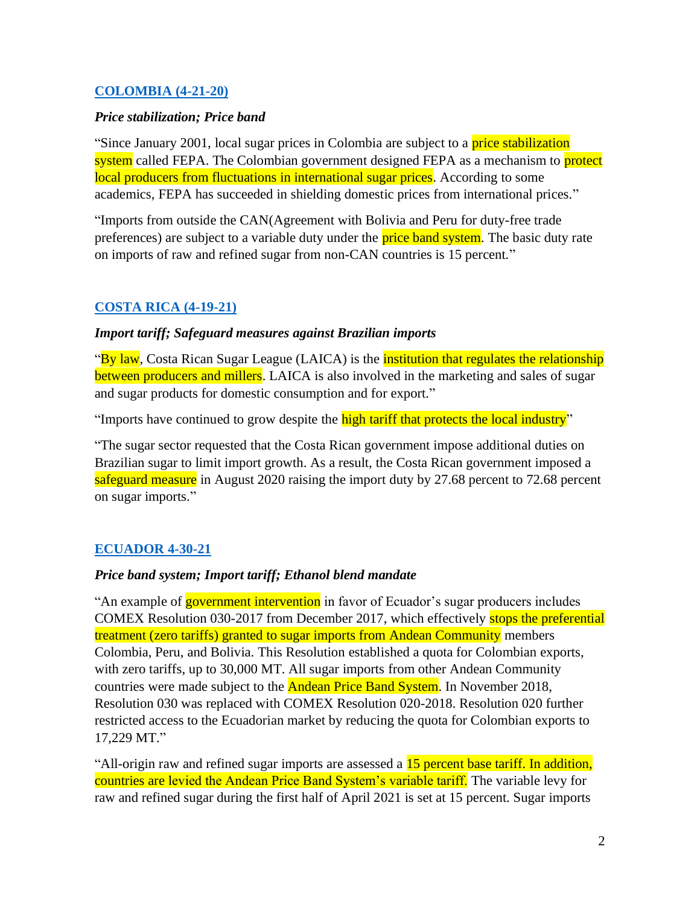#### **[COLOMBIA \(4-21-20\)](https://apps.fas.usda.gov/newgainapi/api/Report/DownloadReportByFileName?fileName=Sugar%20Annual_Bogota_Colombia_04-15-2021)**

#### *Price stabilization; Price band*

"Since January 2001, local sugar prices in Colombia are subject to a price stabilization system called FEPA. The Colombian government designed FEPA as a mechanism to protect local producers from fluctuations in international sugar prices. According to some academics, FEPA has succeeded in shielding domestic prices from international prices."

"Imports from outside the CAN(Agreement with Bolivia and Peru for duty-free trade preferences) are subject to a variable duty under the **price band system**. The basic duty rate on imports of raw and refined sugar from non-CAN countries is 15 percent."

## **[COSTA RICA \(4-19-21\)](https://apps.fas.usda.gov/newgainapi/api/Report/DownloadReportByFileName?fileName=Sugar%20Annual_San%20Jose_Costa%20Rica_04-15-2021)**

#### *Import tariff; Safeguard measures against Brazilian imports*

"By law, Costa Rican Sugar League (LAICA) is the *institution that regulates the relationship* between producers and millers. LAICA is also involved in the marketing and sales of sugar and sugar products for domestic consumption and for export."

"Imports have continued to grow despite the high tariff that protects the local industry"

"The sugar sector requested that the Costa Rican government impose additional duties on Brazilian sugar to limit import growth. As a result, the Costa Rican government imposed a safeguard measure in August 2020 raising the import duty by 27.68 percent to 72.68 percent on sugar imports."

#### **[ECUADOR 4-30-21](https://apps.fas.usda.gov/newgainapi/api/Report/DownloadReportByFileName?fileName=Sugar%20Annual_Quito_Ecuador_04-15-2021)**

#### *Price band system; Import tariff; Ethanol blend mandate*

"An example of government intervention in favor of Ecuador's sugar producers includes COMEX Resolution 030-2017 from December 2017, which effectively stops the preferential treatment (zero tariffs) granted to sugar imports from Andean Community members Colombia, Peru, and Bolivia. This Resolution established a quota for Colombian exports, with zero tariffs, up to 30,000 MT. All sugar imports from other Andean Community countries were made subject to the **Andean Price Band System**. In November 2018, Resolution 030 was replaced with COMEX Resolution 020-2018. Resolution 020 further restricted access to the Ecuadorian market by reducing the quota for Colombian exports to 17,229 MT."

"All-origin raw and refined sugar imports are assessed a 15 percent base tariff. In addition, countries are levied the Andean Price Band System's variable tariff. The variable levy for raw and refined sugar during the first half of April 2021 is set at 15 percent. Sugar imports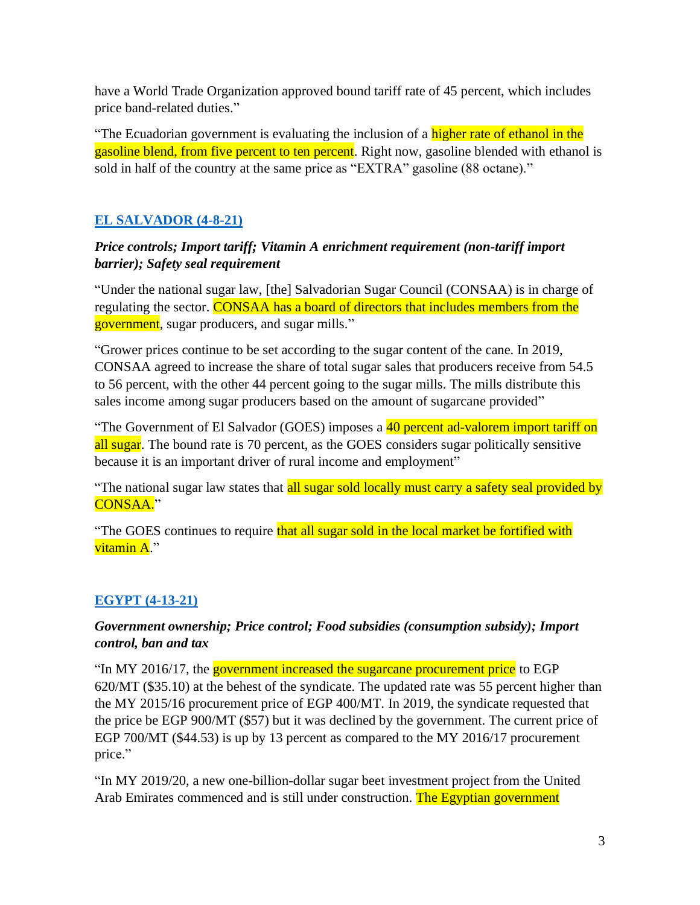have a World Trade Organization approved bound tariff rate of 45 percent, which includes price band-related duties."

"The Ecuadorian government is evaluating the inclusion of a higher rate of ethanol in the gasoline blend, from five percent to ten percent. Right now, gasoline blended with ethanol is sold in half of the country at the same price as "EXTRA" gasoline (88 octane)."

## **[EL SALVADOR \(4-8-21\)](https://apps.fas.usda.gov/newgainapi/api/Report/DownloadReportByFileName?fileName=Sugar%20Annual_San%20Salvador_El%20Salvador_04-15-2021)**

## *Price controls; Import tariff; Vitamin A enrichment requirement (non-tariff import barrier); Safety seal requirement*

"Under the national sugar law, [the] Salvadorian Sugar Council (CONSAA) is in charge of regulating the sector. CONSAA has a board of directors that includes members from the government, sugar producers, and sugar mills."

"Grower prices continue to be set according to the sugar content of the cane. In 2019, CONSAA agreed to increase the share of total sugar sales that producers receive from 54.5 to 56 percent, with the other 44 percent going to the sugar mills. The mills distribute this sales income among sugar producers based on the amount of sugarcane provided"

"The Government of El Salvador (GOES) imposes a 40 percent ad-valorem import tariff on all sugar. The bound rate is 70 percent, as the GOES considers sugar politically sensitive because it is an important driver of rural income and employment"

"The national sugar law states that all sugar sold locally must carry a safety seal provided by CONSAA."

"The GOES continues to require that all sugar sold in the local market be fortified with vitamin A."

## **[EGYPT \(4-13-21\)](https://apps.fas.usda.gov/newgainapi/api/Report/DownloadReportByFileName?fileName=Sugar%20Annual_Cairo_Egypt_04-15-2021)**

## *Government ownership; Price control; Food subsidies (consumption subsidy); Import control, ban and tax*

"In MY 2016/17, the government increased the sugarcane procurement price to EGP 620/MT (\$35.10) at the behest of the syndicate. The updated rate was 55 percent higher than the MY 2015/16 procurement price of EGP 400/MT. In 2019, the syndicate requested that the price be EGP 900/MT (\$57) but it was declined by the government. The current price of EGP 700/MT (\$44.53) is up by 13 percent as compared to the MY 2016/17 procurement price."

"In MY 2019/20, a new one-billion-dollar sugar beet investment project from the United Arab Emirates commenced and is still under construction. The Egyptian government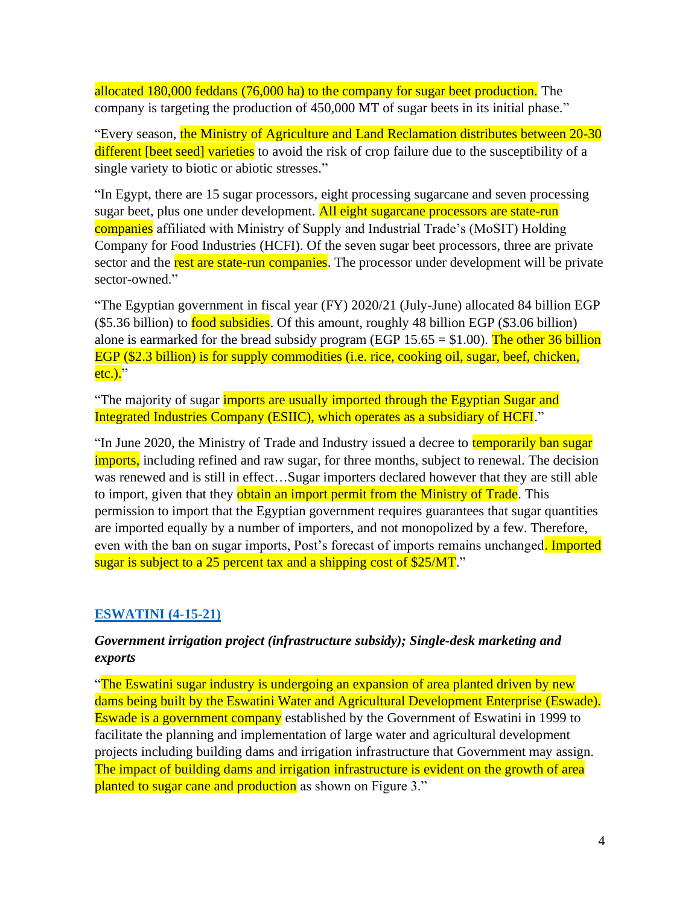allocated 180,000 feddans (76,000 ha) to the company for sugar beet production. The company is targeting the production of 450,000 MT of sugar beets in its initial phase."

"Every season, the Ministry of Agriculture and Land Reclamation distributes between 20-30 different [beet seed] varieties to avoid the risk of crop failure due to the susceptibility of a single variety to biotic or abiotic stresses."

"In Egypt, there are 15 sugar processors, eight processing sugarcane and seven processing sugar beet, plus one under development. All eight sugarcane processors are state-run companies affiliated with Ministry of Supply and Industrial Trade's (MoSIT) Holding Company for Food Industries (HCFI). Of the seven sugar beet processors, three are private sector and the rest are state-run companies. The processor under development will be private sector-owned."

"The Egyptian government in fiscal year (FY) 2020/21 (July-June) allocated 84 billion EGP (\$5.36 billion) to food subsidies. Of this amount, roughly 48 billion EGP (\$3.06 billion) alone is earmarked for the bread subsidy program (EGP  $15.65 = $1.00$ ). The other 36 billion EGP (\$2.3 billion) is for supply commodities (i.e. rice, cooking oil, sugar, beef, chicken,  $etc.$ )."

"The majority of sugar *imports are usually imported through the Egyptian Sugar and* Integrated Industries Company (ESIIC), which operates as a subsidiary of HCFI."

"In June 2020, the Ministry of Trade and Industry issued a decree to temporarily ban sugar imports, including refined and raw sugar, for three months, subject to renewal. The decision was renewed and is still in effect…Sugar importers declared however that they are still able to import, given that they obtain an import permit from the Ministry of Trade. This permission to import that the Egyptian government requires guarantees that sugar quantities are imported equally by a number of importers, and not monopolized by a few. Therefore, even with the ban on sugar imports, Post's forecast of imports remains unchanged. Imported sugar is subject to a 25 percent tax and a shipping cost of \$25/MT."

## **[ESWATINI \(4-15-21\)](https://apps.fas.usda.gov/newgainapi/api/Report/DownloadReportByFileName?fileName=Sugar%20Annual_Pretoria_Eswatini_04-15-2021)**

## *Government irrigation project (infrastructure subsidy); Single-desk marketing and exports*

"The Eswatini sugar industry is undergoing an expansion of area planted driven by new dams being built by the Eswatini Water and Agricultural Development Enterprise (Eswade). Eswade is a government company established by the Government of Eswatini in 1999 to facilitate the planning and implementation of large water and agricultural development projects including building dams and irrigation infrastructure that Government may assign. The impact of building dams and irrigation infrastructure is evident on the growth of area planted to sugar cane and production as shown on Figure 3."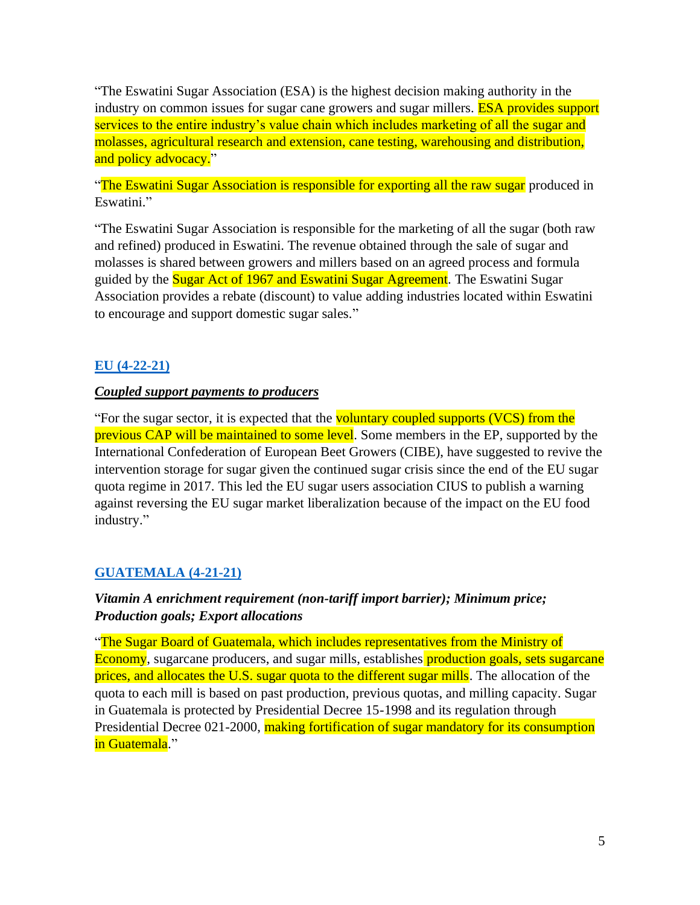"The Eswatini Sugar Association (ESA) is the highest decision making authority in the industry on common issues for sugar cane growers and sugar millers. **ESA provides support** services to the entire industry's value chain which includes marketing of all the sugar and molasses, agricultural research and extension, cane testing, warehousing and distribution, and policy advocacy."

"The Eswatini Sugar Association is responsible for exporting all the raw sugar produced in Eswatini."

"The Eswatini Sugar Association is responsible for the marketing of all the sugar (both raw and refined) produced in Eswatini. The revenue obtained through the sale of sugar and molasses is shared between growers and millers based on an agreed process and formula guided by the Sugar Act of 1967 and Eswatini Sugar Agreement. The Eswatini Sugar Association provides a rebate (discount) to value adding industries located within Eswatini to encourage and support domestic sugar sales."

## **[EU \(4-22-21\)](https://apps.fas.usda.gov/newgainapi/api/Report/DownloadReportByFileName?fileName=Sugar%20Annual_Brussels%20USEU_European%20Union_04-15-2021)**

#### *Coupled support payments to producers*

"For the sugar sector, it is expected that the voluntary coupled supports (VCS) from the previous CAP will be maintained to some level. Some members in the EP, supported by the International Confederation of European Beet Growers (CIBE), have suggested to revive the intervention storage for sugar given the continued sugar crisis since the end of the EU sugar quota regime in 2017. This led the EU sugar users association CIUS to publish a warning against reversing the EU sugar market liberalization because of the impact on the EU food industry."

## **[GUATEMALA \(4-21-21\)](https://apps.fas.usda.gov/newgainapi/api/Report/DownloadReportByFileName?fileName=Sugar%20Annual_Guatemala%20City_Guatemala_04-15-2021)**

## *Vitamin A enrichment requirement (non-tariff import barrier); Minimum price; Production goals; Export allocations*

"The Sugar Board of Guatemala, which includes representatives from the Ministry of Economy, sugarcane producers, and sugar mills, establishes production goals, sets sugarcane prices, and allocates the U.S. sugar quota to the different sugar mills. The allocation of the quota to each mill is based on past production, previous quotas, and milling capacity. Sugar in Guatemala is protected by Presidential Decree 15-1998 and its regulation through Presidential Decree 021-2000, making fortification of sugar mandatory for its consumption in Guatemala."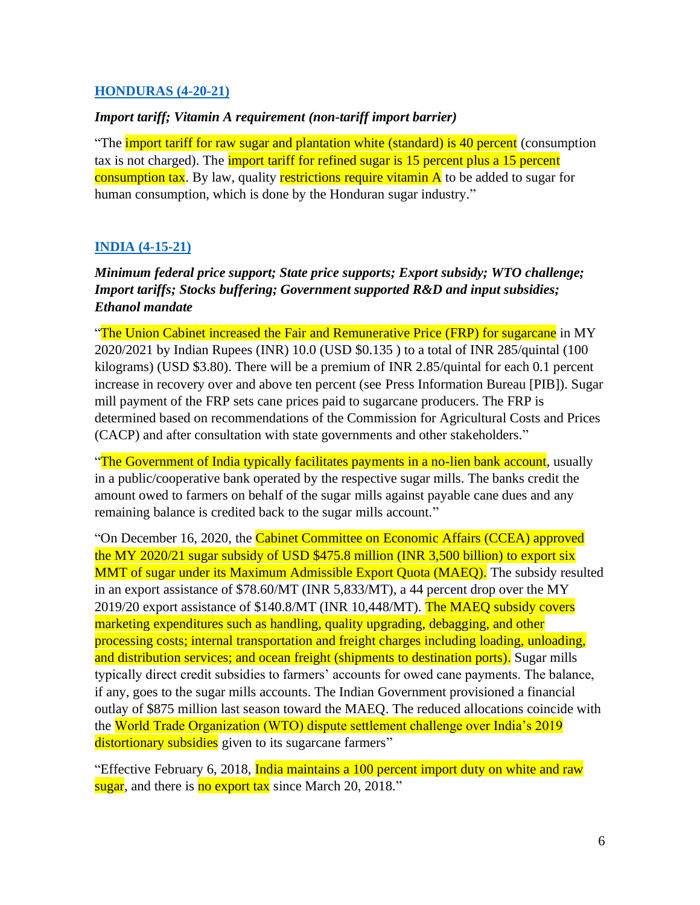#### **[HONDURAS \(4-20-21\)](https://apps.fas.usda.gov/newgainapi/api/Report/DownloadReportByFileName?fileName=Sugar%20Annual_Tegucigalpa_Honduras_04-15-2021)**

#### *Import tariff; Vitamin A requirement (non-tariff import barrier)*

"The *import tariff for raw sugar and plantation white (standard)* is 40 percent (consumption tax is not charged). The *import tariff for refined sugar is 15 percent plus a 15 percent* consumption tax. By law, quality restrictions require vitamin A to be added to sugar for human consumption, which is done by the Honduran sugar industry."

## **[INDIA \(4-15-21\)](https://apps.fas.usda.gov/newgainapi/api/Report/DownloadReportByFileName?fileName=Sugar%20Annual_New%20Delhi_India_04-15-2021)**

*Minimum federal price support; State price supports; Export subsidy; WTO challenge; Import tariffs; Stocks buffering; Government supported R&D and input subsidies; Ethanol mandate*

"The Union Cabinet increased the Fair and Remunerative Price (FRP) for sugarcane in MY 2020/2021 by Indian Rupees (INR) 10.0 (USD \$0.135 ) to a total of INR 285/quintal (100 kilograms) (USD \$3.80). There will be a premium of INR 2.85/quintal for each 0.1 percent increase in recovery over and above ten percent (see Press Information Bureau [PIB]). Sugar mill payment of the FRP sets cane prices paid to sugarcane producers. The FRP is determined based on recommendations of the Commission for Agricultural Costs and Prices (CACP) and after consultation with state governments and other stakeholders."

"The Government of India typically facilitates payments in a no-lien bank account, usually in a public/cooperative bank operated by the respective sugar mills. The banks credit the amount owed to farmers on behalf of the sugar mills against payable cane dues and any remaining balance is credited back to the sugar mills account."

"On December 16, 2020, the Cabinet Committee on Economic Affairs (CCEA) approved the MY 2020/21 sugar subsidy of USD \$475.8 million (INR 3,500 billion) to export six MMT of sugar under its Maximum Admissible Export Quota (MAEQ). The subsidy resulted in an export assistance of \$78.60/MT (INR 5,833/MT), a 44 percent drop over the MY 2019/20 export assistance of \$140.8/MT (INR 10,448/MT). The MAEQ subsidy covers marketing expenditures such as handling, quality upgrading, debagging, and other processing costs; internal transportation and freight charges including loading, unloading, and distribution services; and ocean freight (shipments to destination ports). Sugar mills typically direct credit subsidies to farmers' accounts for owed cane payments. The balance, if any, goes to the sugar mills accounts. The Indian Government provisioned a financial outlay of \$875 million last season toward the MAEQ. The reduced allocations coincide with the World Trade Organization (WTO) dispute settlement challenge over India's 2019 distortionary subsidies given to its sugarcane farmers"

"Effective February 6, 2018, India maintains a 100 percent import duty on white and raw sugar, and there is no export tax since March 20, 2018."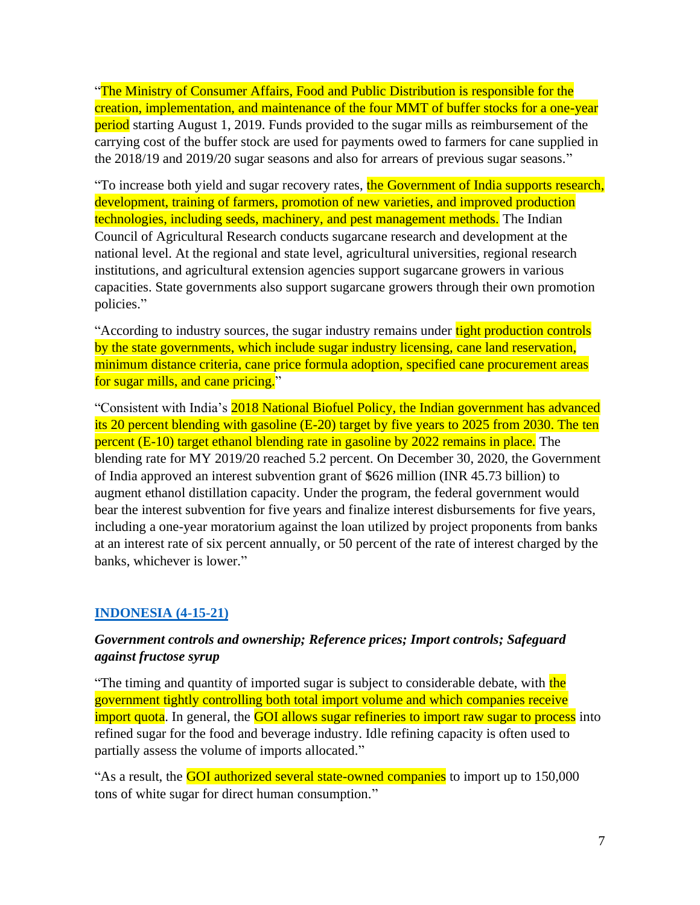"The Ministry of Consumer Affairs, Food and Public Distribution is responsible for the creation, implementation, and maintenance of the four MMT of buffer stocks for a one-year **period** starting August 1, 2019. Funds provided to the sugar mills as reimbursement of the carrying cost of the buffer stock are used for payments owed to farmers for cane supplied in the 2018/19 and 2019/20 sugar seasons and also for arrears of previous sugar seasons."

"To increase both yield and sugar recovery rates, the Government of India supports research, development, training of farmers, promotion of new varieties, and improved production technologies, including seeds, machinery, and pest management methods. The Indian Council of Agricultural Research conducts sugarcane research and development at the national level. At the regional and state level, agricultural universities, regional research institutions, and agricultural extension agencies support sugarcane growers in various capacities. State governments also support sugarcane growers through their own promotion policies."

"According to industry sources, the sugar industry remains under tight production controls by the state governments, which include sugar industry licensing, cane land reservation, minimum distance criteria, cane price formula adoption, specified cane procurement areas for sugar mills, and cane pricing."

"Consistent with India's 2018 National Biofuel Policy, the Indian government has advanced its 20 percent blending with gasoline (E-20) target by five years to 2025 from 2030. The ten percent (E-10) target ethanol blending rate in gasoline by 2022 remains in place. The blending rate for MY 2019/20 reached 5.2 percent. On December 30, 2020, the Government of India approved an interest subvention grant of \$626 million (INR 45.73 billion) to augment ethanol distillation capacity. Under the program, the federal government would bear the interest subvention for five years and finalize interest disbursements for five years, including a one-year moratorium against the loan utilized by project proponents from banks at an interest rate of six percent annually, or 50 percent of the rate of interest charged by the banks, whichever is lower."

## **[INDONESIA \(4-15-21\)](https://apps.fas.usda.gov/newgainapi/api/Report/DownloadReportByFileName?fileName=Sugar%20Annual_Jakarta_Indonesia_04-15-2021)**

## *Government controls and ownership; Reference prices; Import controls; Safeguard against fructose syrup*

"The timing and quantity of imported sugar is subject to considerable debate, with the government tightly controlling both total import volume and which companies receive import quota. In general, the **GOI allows sugar refineries to import raw sugar to process** into refined sugar for the food and beverage industry. Idle refining capacity is often used to partially assess the volume of imports allocated."

"As a result, the **GOI authorized several state-owned companies** to import up to 150,000 tons of white sugar for direct human consumption."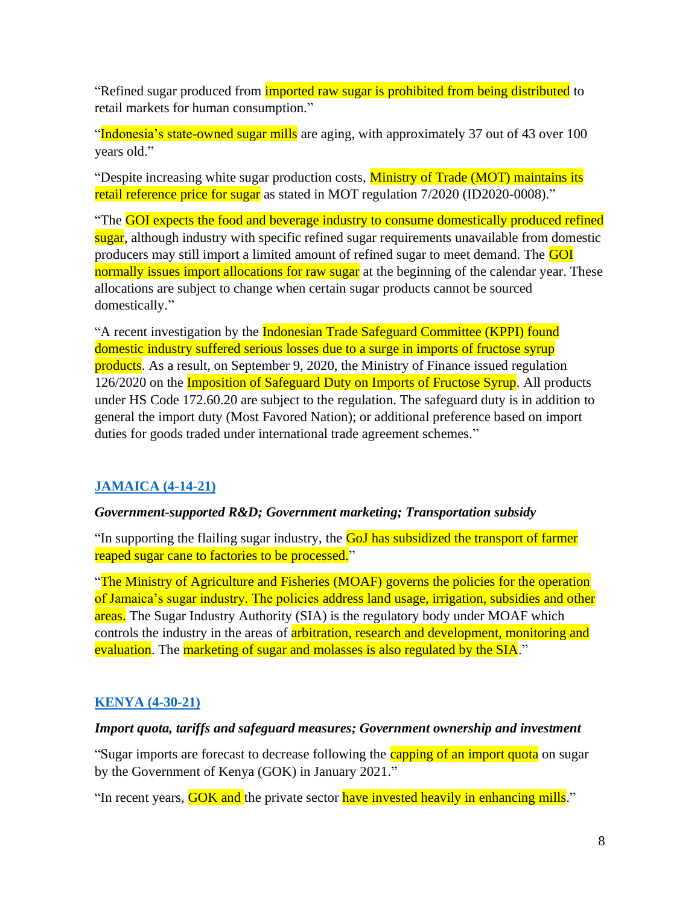"Refined sugar produced from *imported raw sugar is prohibited from being distributed* to retail markets for human consumption."

"Indonesia's state-owned sugar mills are aging, with approximately 37 out of 43 over 100 years old."

"Despite increasing white sugar production costs, Ministry of Trade (MOT) maintains its retail reference price for sugar as stated in MOT regulation 7/2020 (ID2020-0008)."

"The GOI expects the food and beverage industry to consume domestically produced refined sugar, although industry with specific refined sugar requirements unavailable from domestic producers may still import a limited amount of refined sugar to meet demand. The GOI normally issues import allocations for raw sugar at the beginning of the calendar year. These allocations are subject to change when certain sugar products cannot be sourced domestically."

"A recent investigation by the Indonesian Trade Safeguard Committee (KPPI) found domestic industry suffered serious losses due to a surge in imports of fructose syrup products. As a result, on September 9, 2020, the Ministry of Finance issued regulation 126/2020 on the Imposition of Safeguard Duty on Imports of Fructose Syrup. All products under HS Code 172.60.20 are subject to the regulation. The safeguard duty is in addition to general the import duty (Most Favored Nation); or additional preference based on import duties for goods traded under international trade agreement schemes."

## **[JAMAICA \(4-14-21\)](https://apps.fas.usda.gov/newgainapi/api/Report/DownloadReportByFileName?fileName=Sugar%20Annual_Kingston_Jamaica_04-15-2021)**

#### *Government-supported R&D; Government marketing; Transportation subsidy*

"In supporting the flailing sugar industry, the GoJ has subsidized the transport of farmer reaped sugar cane to factories to be processed."

"The Ministry of Agriculture and Fisheries (MOAF) governs the policies for the operation of Jamaica's sugar industry. The policies address land usage, irrigation, subsidies and other areas. The Sugar Industry Authority (SIA) is the regulatory body under MOAF which controls the industry in the areas of arbitration, research and development, monitoring and evaluation. The marketing of sugar and molasses is also regulated by the SIA."

## **[KENYA \(4-30-21\)](https://apps.fas.usda.gov/newgainapi/api/Report/DownloadReportByFileName?fileName=Sugar%20Annual_Nairobi_Kenya_04-15-2021)**

#### *Import quota, tariffs and safeguard measures; Government ownership and investment*

"Sugar imports are forecast to decrease following the **capping of an import quota** on sugar by the Government of Kenya (GOK) in January 2021."

"In recent years, **GOK and** the private sector have invested heavily in enhancing mills."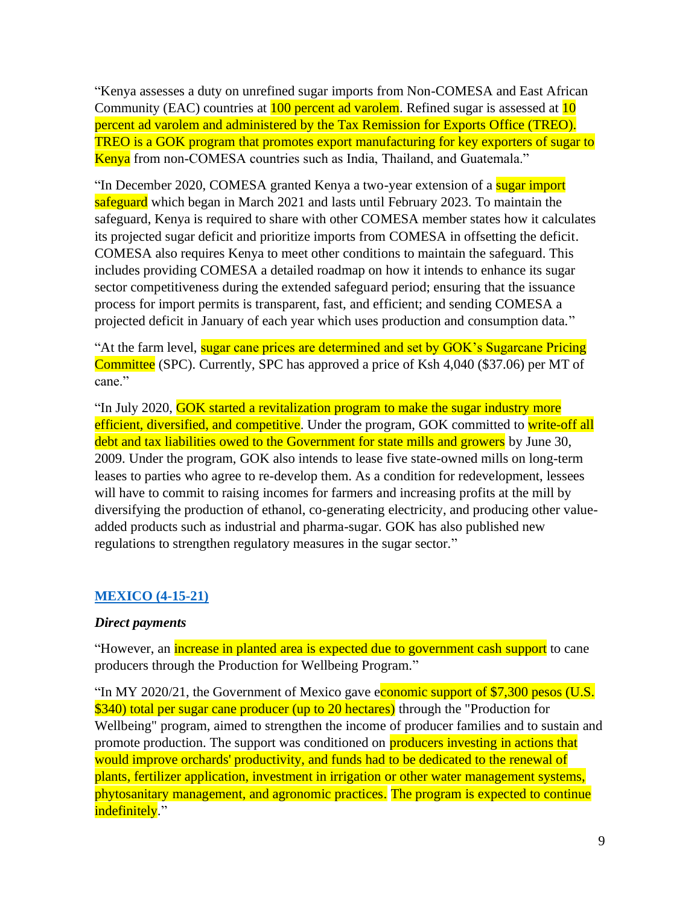"Kenya assesses a duty on unrefined sugar imports from Non-COMESA and East African Community (EAC) countries at 100 percent ad varolem. Refined sugar is assessed at 10 percent ad varolem and administered by the Tax Remission for Exports Office (TREO). TREO is a GOK program that promotes export manufacturing for key exporters of sugar to Kenya from non-COMESA countries such as India, Thailand, and Guatemala."

"In December 2020, COMESA granted Kenya a two-year extension of a sugar import safeguard which began in March 2021 and lasts until February 2023. To maintain the safeguard, Kenya is required to share with other COMESA member states how it calculates its projected sugar deficit and prioritize imports from COMESA in offsetting the deficit. COMESA also requires Kenya to meet other conditions to maintain the safeguard. This includes providing COMESA a detailed roadmap on how it intends to enhance its sugar sector competitiveness during the extended safeguard period; ensuring that the issuance process for import permits is transparent, fast, and efficient; and sending COMESA a projected deficit in January of each year which uses production and consumption data."

"At the farm level, sugar cane prices are determined and set by GOK's Sugarcane Pricing Committee (SPC). Currently, SPC has approved a price of Ksh 4,040 (\$37.06) per MT of cane."

"In July 2020, GOK started a revitalization program to make the sugar industry more efficient, diversified, and competitive. Under the program, GOK committed to write-off all debt and tax liabilities owed to the Government for state mills and growers by June 30, 2009. Under the program, GOK also intends to lease five state-owned mills on long-term leases to parties who agree to re-develop them. As a condition for redevelopment, lessees will have to commit to raising incomes for farmers and increasing profits at the mill by diversifying the production of ethanol, co-generating electricity, and producing other valueadded products such as industrial and pharma-sugar. GOK has also published new regulations to strengthen regulatory measures in the sugar sector."

#### **[MEXICO](https://apps.fas.usda.gov/newgainapi/api/Report/DownloadReportByFileName?fileName=Sugar%20Annual_Mexico%20City_Mexico_04-15-2021) (4-15-21)**

#### *Direct payments*

"However, an *increase in planted area is expected due to government cash support* to cane producers through the Production for Wellbeing Program."

"In MY 2020/21, the Government of Mexico gave economic support of \$7,300 pesos (U.S.)" \$340) total per sugar cane producer (up to 20 hectares) through the "Production for Wellbeing" program, aimed to strengthen the income of producer families and to sustain and promote production. The support was conditioned on **producers investing in actions that** would improve orchards' productivity, and funds had to be dedicated to the renewal of plants, fertilizer application, investment in irrigation or other water management systems, phytosanitary management, and agronomic practices. The program is expected to continue indefinitely."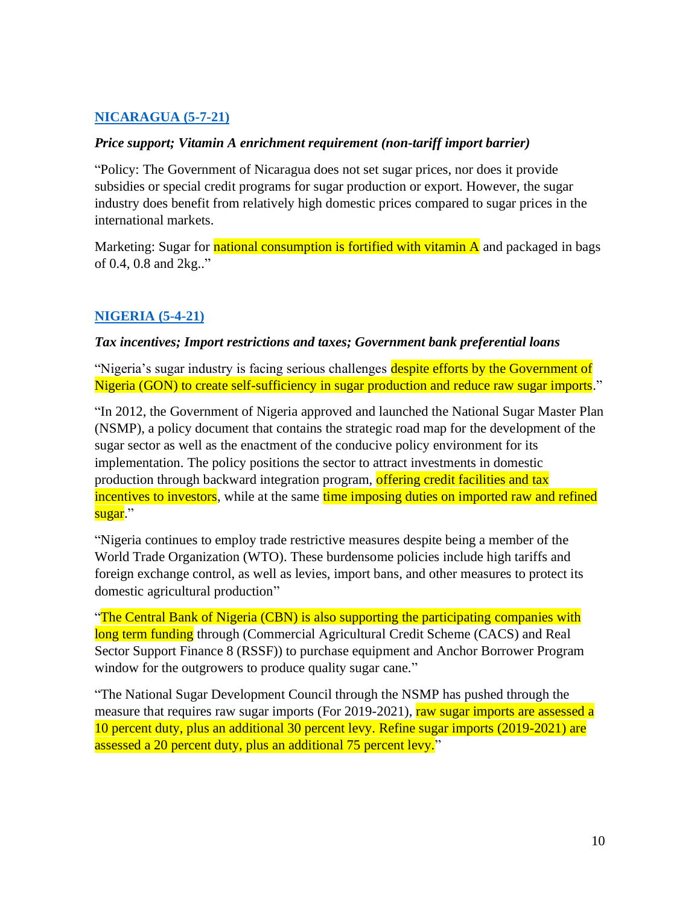## **[NICARAGUA \(5-7-21\)](https://apps.fas.usda.gov/newgainapi/api/Report/DownloadReportByFileName?fileName=Sugar%20Annual_Managua_Nicaragua_04-15-2021)**

#### *Price support; Vitamin A enrichment requirement (non-tariff import barrier)*

"Policy: The Government of Nicaragua does not set sugar prices, nor does it provide subsidies or special credit programs for sugar production or export. However, the sugar industry does benefit from relatively high domestic prices compared to sugar prices in the international markets.

Marketing: Sugar for **national consumption is fortified with vitamin A** and packaged in bags of 0.4, 0.8 and 2kg.."

#### **[NIGERIA \(5-4-21\)](https://apps.fas.usda.gov/newgainapi/api/Report/DownloadReportByFileName?fileName=Sugar%20Annual_Lagos_Nigeria_04-15-2021)**

#### *Tax incentives; Import restrictions and taxes; Government bank preferential loans*

"Nigeria's sugar industry is facing serious challenges despite efforts by the Government of Nigeria (GON) to create self-sufficiency in sugar production and reduce raw sugar imports."

"In 2012, the Government of Nigeria approved and launched the National Sugar Master Plan (NSMP), a policy document that contains the strategic road map for the development of the sugar sector as well as the enactment of the conducive policy environment for its implementation. The policy positions the sector to attract investments in domestic production through backward integration program, offering credit facilities and tax incentives to investors, while at the same time imposing duties on imported raw and refined sugar."

"Nigeria continues to employ trade restrictive measures despite being a member of the World Trade Organization (WTO). These burdensome policies include high tariffs and foreign exchange control, as well as levies, import bans, and other measures to protect its domestic agricultural production"

"The Central Bank of Nigeria (CBN) is also supporting the participating companies with long term funding through (Commercial Agricultural Credit Scheme (CACS) and Real Sector Support Finance 8 (RSSF)) to purchase equipment and Anchor Borrower Program window for the outgrowers to produce quality sugar cane."

"The National Sugar Development Council through the NSMP has pushed through the measure that requires raw sugar imports (For 2019-2021), raw sugar imports are assessed a 10 percent duty, plus an additional 30 percent levy. Refine sugar imports (2019-2021) are assessed a 20 percent duty, plus an additional 75 percent levy."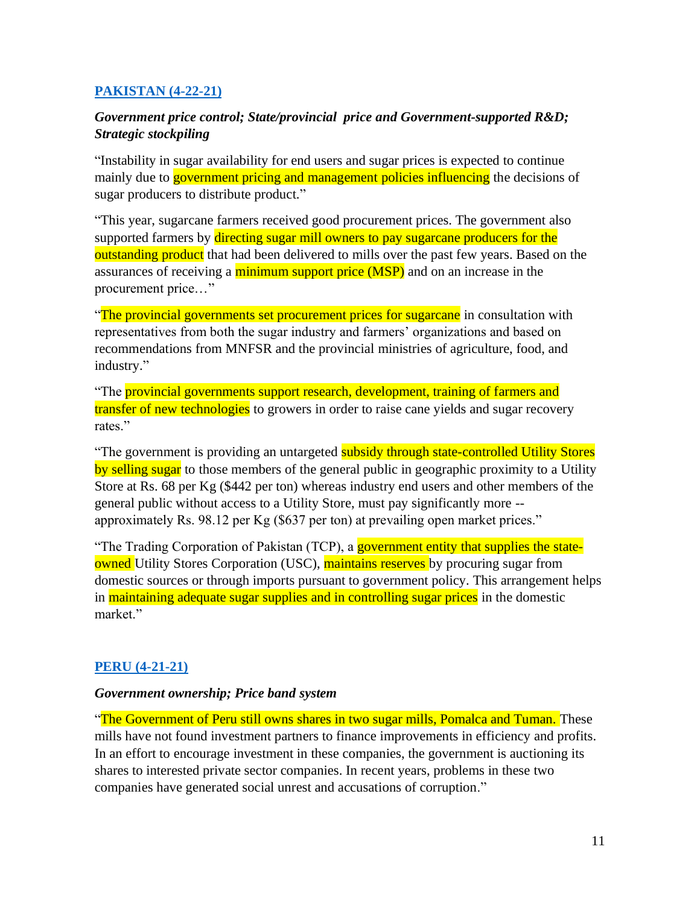## **[PAKISTAN \(4-22-21\)](https://apps.fas.usda.gov/newgainapi/api/Report/DownloadReportByFileName?fileName=Sugar%20Annual_Islamabad_Pakistan_04-15-2021)**

## *Government price control; State/provincial price and Government-supported R&D; Strategic stockpiling*

"Instability in sugar availability for end users and sugar prices is expected to continue mainly due to government pricing and management policies influencing the decisions of sugar producers to distribute product."

"This year, sugarcane farmers received good procurement prices. The government also supported farmers by directing sugar mill owners to pay sugarcane producers for the outstanding product that had been delivered to mills over the past few years. Based on the assurances of receiving a minimum support price (MSP) and on an increase in the procurement price…"

"The provincial governments set procurement prices for sugarcane in consultation with representatives from both the sugar industry and farmers' organizations and based on recommendations from MNFSR and the provincial ministries of agriculture, food, and industry."

"The provincial governments support research, development, training of farmers and transfer of new technologies to growers in order to raise cane yields and sugar recovery rates."

"The government is providing an untargeted **subsidy through state-controlled Utility Stores**" by selling sugar to those members of the general public in geographic proximity to a Utility Store at Rs. 68 per Kg (\$442 per ton) whereas industry end users and other members of the general public without access to a Utility Store, must pay significantly more - approximately Rs. 98.12 per Kg (\$637 per ton) at prevailing open market prices."

"The Trading Corporation of Pakistan (TCP), a government entity that supplies the state**owned** Utility Stores Corporation (USC), maintains reserves by procuring sugar from domestic sources or through imports pursuant to government policy. This arrangement helps in maintaining adequate sugar supplies and in controlling sugar prices in the domestic market."

## **[PERU \(4-21-21\)](https://apps.fas.usda.gov/newgainapi/api/Report/DownloadReportByFileName?fileName=Sugar%20Annual_Lima_Peru_04-15-2021)**

#### *Government ownership; Price band system*

"The Government of Peru still owns shares in two sugar mills, Pomalca and Tuman. These mills have not found investment partners to finance improvements in efficiency and profits. In an effort to encourage investment in these companies, the government is auctioning its shares to interested private sector companies. In recent years, problems in these two companies have generated social unrest and accusations of corruption."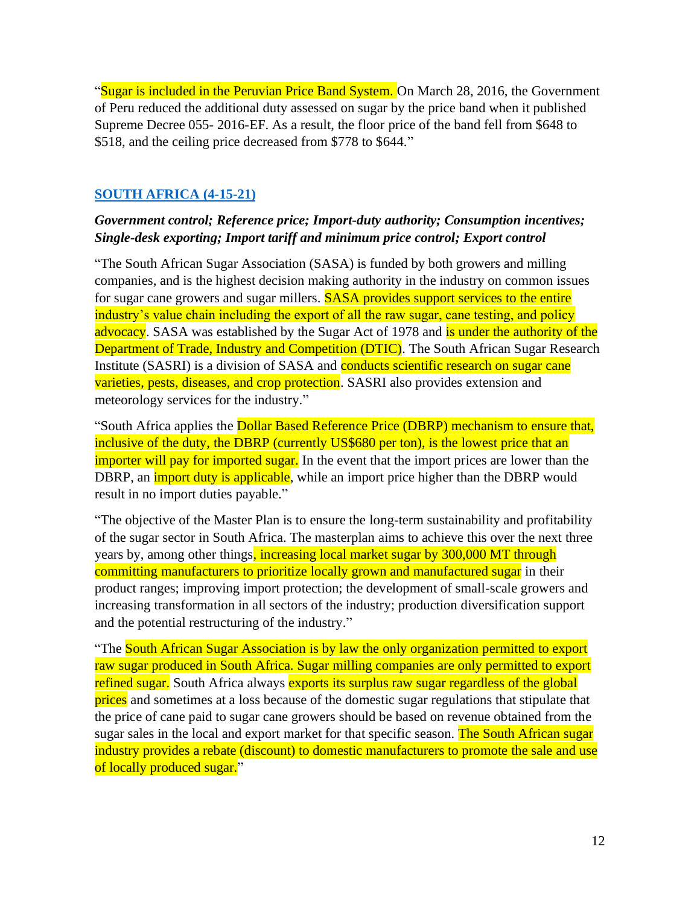"Sugar is included in the Peruvian Price Band System. On March 28, 2016, the Government of Peru reduced the additional duty assessed on sugar by the price band when it published Supreme Decree 055- 2016-EF. As a result, the floor price of the band fell from \$648 to \$518, and the ceiling price decreased from \$778 to \$644."

## **[SOUTH AFRICA](https://apps.fas.usda.gov/newgainapi/api/Report/DownloadReportByFileName?fileName=Sugar%20Annual_Pretoria_South%20Africa%20-%20Republic%20of_04-15-2021) (4-15-21)**

### *Government control; Reference price; Import-duty authority; Consumption incentives; Single-desk exporting; Import tariff and minimum price control; Export control*

"The South African Sugar Association (SASA) is funded by both growers and milling companies, and is the highest decision making authority in the industry on common issues for sugar cane growers and sugar millers. SASA provides support services to the entire industry's value chain including the export of all the raw sugar, cane testing, and policy advocacy. SASA was established by the Sugar Act of 1978 and is under the authority of the Department of Trade, Industry and Competition (DTIC). The South African Sugar Research Institute (SASRI) is a division of SASA and conducts scientific research on sugar cane varieties, pests, diseases, and crop protection. SASRI also provides extension and meteorology services for the industry."

"South Africa applies the Dollar Based Reference Price (DBRP) mechanism to ensure that, inclusive of the duty, the DBRP (currently US\$680 per ton), is the lowest price that an importer will pay for imported sugar. In the event that the import prices are lower than the DBRP, an *import duty is applicable*, while an import price higher than the DBRP would result in no import duties payable."

"The objective of the Master Plan is to ensure the long-term sustainability and profitability of the sugar sector in South Africa. The masterplan aims to achieve this over the next three years by, among other things, increasing local market sugar by 300,000 MT through committing manufacturers to prioritize locally grown and manufactured sugar in their product ranges; improving import protection; the development of small-scale growers and increasing transformation in all sectors of the industry; production diversification support and the potential restructuring of the industry."

"The South African Sugar Association is by law the only organization permitted to export raw sugar produced in South Africa. Sugar milling companies are only permitted to export refined sugar. South Africa always exports its surplus raw sugar regardless of the global prices and sometimes at a loss because of the domestic sugar regulations that stipulate that the price of cane paid to sugar cane growers should be based on revenue obtained from the sugar sales in the local and export market for that specific season. The South African sugar industry provides a rebate (discount) to domestic manufacturers to promote the sale and use of locally produced sugar."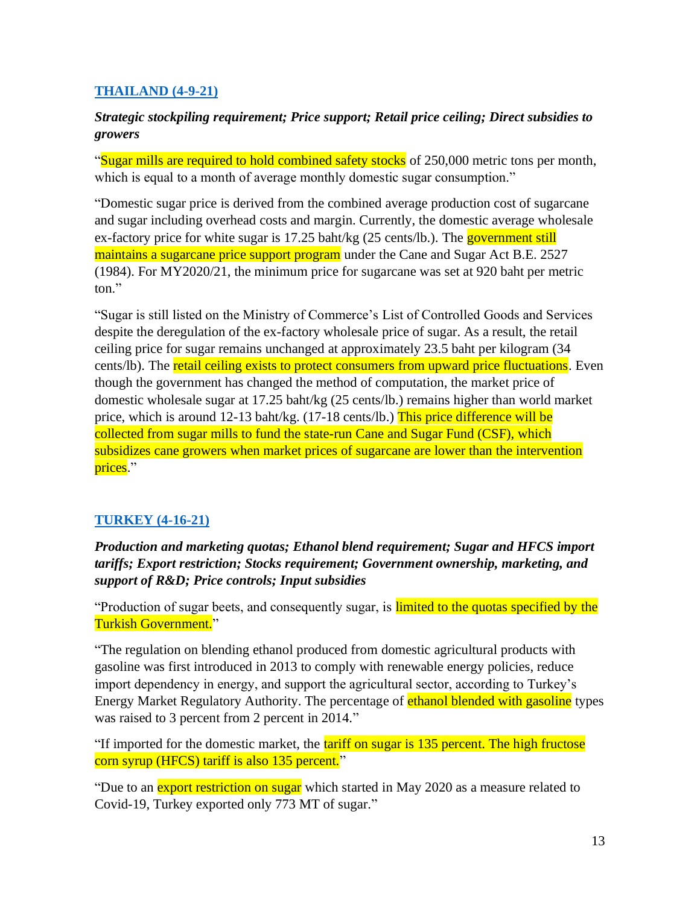## **[THAILAND \(4-9-21\)](https://apps.fas.usda.gov/newgainapi/api/Report/DownloadReportByFileName?fileName=Sugar%20Annual_Bangkok_Thailand_04-15-2021)**

## *Strategic stockpiling requirement; Price support; Retail price ceiling; Direct subsidies to growers*

"Sugar mills are required to hold combined safety stocks of 250,000 metric tons per month, which is equal to a month of average monthly domestic sugar consumption."

"Domestic sugar price is derived from the combined average production cost of sugarcane and sugar including overhead costs and margin. Currently, the domestic average wholesale ex-factory price for white sugar is 17.25 baht/kg (25 cents/lb.). The government still maintains a sugarcane price support program under the Cane and Sugar Act B.E. 2527 (1984). For MY2020/21, the minimum price for sugarcane was set at 920 baht per metric ton."

"Sugar is still listed on the Ministry of Commerce's List of Controlled Goods and Services despite the deregulation of the ex-factory wholesale price of sugar. As a result, the retail ceiling price for sugar remains unchanged at approximately 23.5 baht per kilogram (34 cents/lb). The retail ceiling exists to protect consumers from upward price fluctuations. Even though the government has changed the method of computation, the market price of domestic wholesale sugar at 17.25 baht/kg (25 cents/lb.) remains higher than world market price, which is around 12-13 baht/kg. (17-18 cents/lb.) This price difference will be collected from sugar mills to fund the state-run Cane and Sugar Fund (CSF), which subsidizes cane growers when market prices of sugarcane are lower than the intervention prices."

## **[TURKEY \(4-16-21\)](https://apps.fas.usda.gov/newgainapi/api/Report/DownloadReportByFileName?fileName=Sugar%20Annual_Ankara_Turkey_04-15-2021)**

*Production and marketing quotas; Ethanol blend requirement; Sugar and HFCS import tariffs; Export restriction; Stocks requirement; Government ownership, marketing, and support of R&D; Price controls; Input subsidies*

"Production of sugar beets, and consequently sugar, is limited to the quotas specified by the Turkish Government."

"The regulation on blending ethanol produced from domestic agricultural products with gasoline was first introduced in 2013 to comply with renewable energy policies, reduce import dependency in energy, and support the agricultural sector, according to Turkey's Energy Market Regulatory Authority. The percentage of ethanol blended with gasoline types was raised to 3 percent from 2 percent in 2014."

"If imported for the domestic market, the tariff on sugar is 135 percent. The high fructose corn syrup (HFCS) tariff is also 135 percent."

"Due to an **export restriction on sugar** which started in May 2020 as a measure related to Covid-19, Turkey exported only 773 MT of sugar."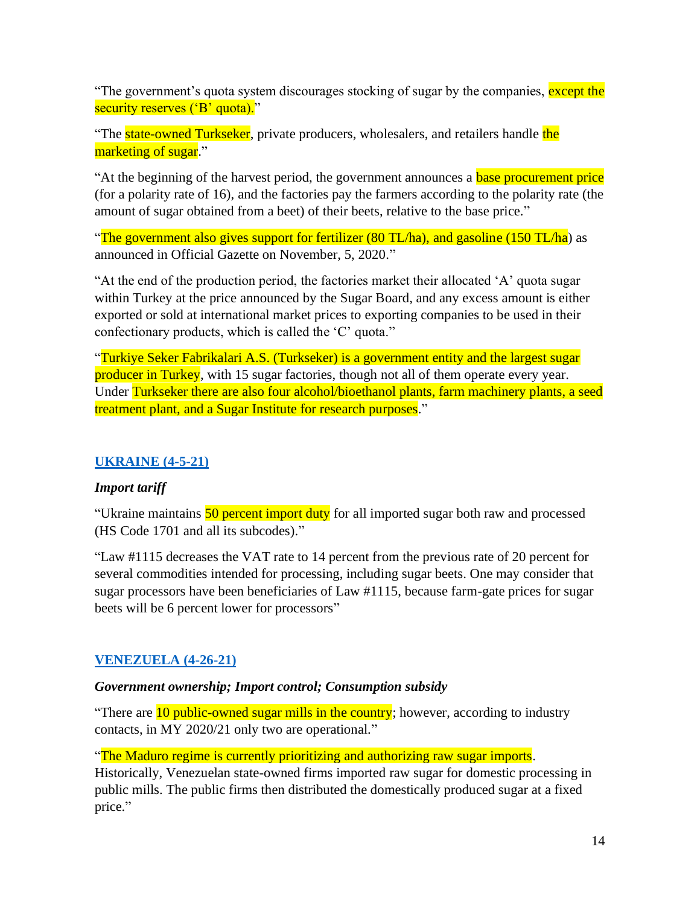"The government's quota system discourages stocking of sugar by the companies, except the security reserves ('B' quota)."

"The **state-owned Turkseker**, private producers, wholesalers, and retailers handle the marketing of sugar."

"At the beginning of the harvest period, the government announces a **base procurement price** (for a polarity rate of 16), and the factories pay the farmers according to the polarity rate (the amount of sugar obtained from a beet) of their beets, relative to the base price."

"The government also gives support for fertilizer (80 TL/ha), and gasoline (150 TL/ha) as announced in Official Gazette on November, 5, 2020."

"At the end of the production period, the factories market their allocated 'A' quota sugar within Turkey at the price announced by the Sugar Board, and any excess amount is either exported or sold at international market prices to exporting companies to be used in their confectionary products, which is called the 'C' quota."

"Turkiye Seker Fabrikalari A.S. (Turkseker) is a government entity and the largest sugar producer in Turkey, with 15 sugar factories, though not all of them operate every year. Under Turkseker there are also four alcohol/bioethanol plants, farm machinery plants, a seed treatment plant, and a Sugar Institute for research purposes."

## **[UKRAINE \(4-5-21\)](https://apps.fas.usda.gov/newgainapi/api/Report/DownloadReportByFileName?fileName=Sugar%20Annual_Kyiv_Ukraine_04-15-2021)**

## *Import tariff*

"Ukraine maintains 50 percent import duty for all imported sugar both raw and processed (HS Code 1701 and all its subcodes)."

"Law #1115 decreases the VAT rate to 14 percent from the previous rate of 20 percent for several commodities intended for processing, including sugar beets. One may consider that sugar processors have been beneficiaries of Law #1115, because farm-gate prices for sugar beets will be 6 percent lower for processors"

## **[VENEZUELA \(4-26-21\)](https://apps.fas.usda.gov/newgainapi/api/Report/DownloadReportByFileName?fileName=Sugar%20Annual_Caracas_Venezuela_04-15-2021)**

#### *Government ownership; Import control; Consumption subsidy*

"There are 10 public-owned sugar mills in the country; however, according to industry contacts, in MY 2020/21 only two are operational."

#### "The Maduro regime is currently prioritizing and authorizing raw sugar imports.

Historically, Venezuelan state-owned firms imported raw sugar for domestic processing in public mills. The public firms then distributed the domestically produced sugar at a fixed price."